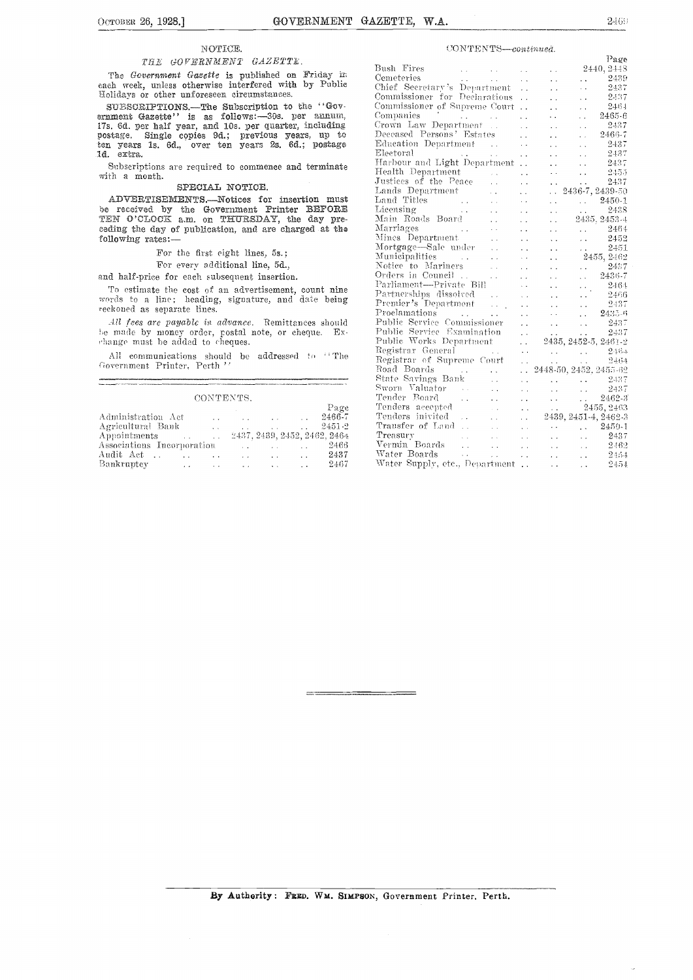#### 2469

#### NOTICE.

#### THE GOVERNMENT GAZETTE.

The Government Gasette is published on Friday in each week, unless otherwise interfered with by Public Holidays or other unforeseen circumstances.

SUESCRIPTIONS.—The Subscription to the "Government Gazette" is as follows:—30s. per annum, 17s. 6d. per half year, and 10s. per quarter, including postage. Single copies 9d.; previous years, up to ten years 1s. 6d., over t

Subscriptions are required to commence and terminate with a month.

#### SPECIAL NOTICE.

ADVERTISEMENTS.-Notices for insertion must be received by the Government Printer BEFORE<br>TEN O'CLOCK a.m. on THURSDAY, the day preceding the day of publication, and are charged at the following rates:-

For the first eight lines, 5s.;

For every additional line, 5d.,

and half-price for each subsequent insertion.

To estimate the cost of an advertisement, count nine words to a line; heading, signature, and date being reckoned as separate lines.

All fees are payable in advance. Remittances should be made by money order, postal note, or cheque. Ex-change must be added to cheques.

All communications should be addressed to "The Government Printer, Perth'

| CONTENTS.                                  |                      |                      |                                |                         |            |  |  |
|--------------------------------------------|----------------------|----------------------|--------------------------------|-------------------------|------------|--|--|
|                                            |                      |                      |                                |                         | Page       |  |  |
| Administration Act                         | $\sim$               | $\sim$ $\sim$ $\sim$ | and the company of the company |                         | 2466-7     |  |  |
| Agricultural Bank                          | $\ddot{\phantom{a}}$ |                      | <b>Contract Contract</b>       |                         | $2451 - 2$ |  |  |
| Appointments  2437, 2439, 2452, 2462, 2464 |                      |                      |                                |                         |            |  |  |
| Associations Incorporation                 |                      |                      |                                |                         | 2466       |  |  |
| Audit Act                                  |                      |                      |                                | <b>Contract</b>         | 2437       |  |  |
| Bankruptey<br>$\cdots$                     |                      |                      |                                | $\sim 100$ km s $^{-1}$ | 2467       |  |  |

#### CONTENTS-continued.

|                                                                                                  |                                                    |                            | Page                                         |
|--------------------------------------------------------------------------------------------------|----------------------------------------------------|----------------------------|----------------------------------------------|
| Bush Fires<br>$\mathbf{L}^{\prime}$ , $\mathbf{L}^{\prime}$ , $\mathbf{L}^{\prime}$              | $\ddotsc$                                          | . .                        | 2440, 2448                                   |
| Cemeteries<br>$\omega_{\rm{max}}$ and $\omega_{\rm{max}}$                                        | $\ddot{\phantom{0}}$<br>$\ddotsc$                  | . .                        | 2439<br>. .                                  |
| Chief Secretary's Department                                                                     | $\ddotsc$                                          | . .                        | $-2437$<br>$\ddot{\phantom{0}}$              |
| Commissioner for Declarations                                                                    | $\ddot{\phantom{0}}$                               | $\ddot{\phantom{1}}$       | 2437<br>$\ddot{\phantom{a}}$                 |
| Commissioner of Supreme Court                                                                    | $\ddot{\phantom{0}}$                               | $\ddot{\phantom{0}}$       | 2464<br>$\ddot{\phantom{0}}$                 |
| $\mathcal{F}^{\text{max}}_{\text{max}}$ and $\mathcal{F}^{\text{max}}_{\text{max}}$<br>Companies |                                                    | $\sim$                     | 2465-6<br>. .                                |
| Crown Law Department                                                                             | $\ddot{\phantom{a}}$                               | έ.                         | 2437<br>ć.                                   |
| Deceased Persons' Estates                                                                        | i.                                                 | . .                        | 2466-7<br>L.                                 |
| Education Department                                                                             | $\ddot{\phantom{0}}$                               | i.                         | 2437<br>$\ddot{\phantom{a}}$                 |
| Electoral                                                                                        | $\bar{L}$ .<br>$\ddotsc$                           | . .                        | 2437<br>i.                                   |
| Harbour and Light Department                                                                     | $\ddot{\phantom{0}}$                               | $\ddot{\phantom{0}}$       | 2437<br>. .                                  |
| Health Department<br><b>Contractor</b>                                                           |                                                    |                            | 2455<br>. .                                  |
| Justices of the Peace                                                                            | $\mathbf{r}$<br>$\ddot{\phantom{a}}$               | $\ddot{\phantom{0}}$       | 2437<br>$\ddot{\phantom{a}}$                 |
| Lands Department                                                                                 | $\ddotsc$<br>. .                                   | . .                        | 2436-7, 2439-50                              |
| Land Titles<br>Licensing                                                                         | $\ddot{\phantom{0}}$<br>$\ddotsc$                  | $\ddot{\phantom{0}}$       | 2450-1<br>$\mathcal{L}(\mathcal{L})$ .       |
|                                                                                                  | $\ddot{\phantom{a}}$<br>. .                        | $\ddotsc$                  | 2438<br>$\mathbf{L}$                         |
| Main Roads Board                                                                                 | $\ddot{\phantom{0}}$<br>. .                        | И.                         | 2435, 2453-4                                 |
| Marriages<br>$\mathcal{L}^{\text{max}}_{\text{max}}$ and $\mathcal{L}^{\text{max}}_{\text{max}}$ | $\ddot{\phantom{0}}$                               | . .                        | $\ldots$ 2464                                |
| Mines Department                                                                                 | $\ddot{\phantom{a}}$<br>. .                        | $\ddotsc$                  | 2452<br>$\ddotsc$                            |
| Mortgage-Sale under                                                                              | $\ddot{\phantom{0}}$<br>. .                        | $\ddotsc$                  | 2451<br>ki ki                                |
| Municipalities                                                                                   | $\ddot{\phantom{0}}$                               | . .                        | 2455, 2462                                   |
| Notice to Mariners                                                                               | $\ddot{\phantom{0}}$<br>$\sim$                     |                            | 2437<br>$\ddot{\phantom{0}}$                 |
| Orders in Council                                                                                | i.<br>$\ddot{\phantom{a}}$                         | $\ddot{\phantom{0}}$       | 2436-7<br>$\mathbf{A}$                       |
| Parliament-Private Bill                                                                          |                                                    | . .                        | 2464<br>e e                                  |
|                                                                                                  | $\ddotsc$                                          | τ.                         | 2466<br>$\ddot{\phantom{0}}$                 |
| Partnerships dissolved<br>Premier's Department                                                   | . .                                                | У.                         | 2437<br>i.                                   |
| Proclamations<br><b>Contractor</b> State                                                         | . .                                                | i.                         | 2435-6<br>$\ddot{\phantom{1}}$               |
| Public Service Commissioner                                                                      | $\ddotsc$                                          | $\ddot{\phantom{0}}$       | 2437<br><b>CALL CO</b>                       |
| Public Service Examination                                                                       | $\ddot{\phantom{a}}$                               |                            | 2437<br>$\sim 10^{-11}$<br><b>Section</b>    |
| Public Works Department                                                                          | $\ddot{\phantom{0}}$                               |                            | 2435, 2452-5, 2461-2                         |
| Registrar General                                                                                | $\ddotsc$<br>$\mathbf{r}$                          |                            | $\ldots$ . 246+                              |
| Registrar of Supreme Court                                                                       | $\ddot{\phantom{0}}$                               |                            | 2464<br>$\sim 10^{-1}$<br>$\mathbf{A}$       |
| Road Boards<br><b>Contractor</b>                                                                 | $\ddotsc$<br>И.                                    |                            | 2448-50, 2452, 2455-62                       |
| State Savings Bank                                                                               | $\mathbb{Z}^2$<br>Ϋ.                               | $\ddot{\phantom{a}}$       | $\ldots$ 2437                                |
| Sworn Valuator                                                                                   |                                                    |                            | -2437<br>$\sim$<br>$\mathcal{L}(\mathbf{x})$ |
| Tender Board<br>$\ddot{\phantom{a}}$                                                             | $\ddot{\phantom{a}}$<br>$\ddot{\phantom{0}}$       | $\mathcal{L}(\mathcal{L})$ | 2462-3<br>$\mathbb{R}^{\mathbb{Z}}$          |
| Tender Board —<br>Tenders accepted                                                               |                                                    |                            | 2455, 2463                                   |
| Tenders inivited                                                                                 | $\ddot{\phantom{1}}$<br>i.<br>$\ddot{\phantom{a}}$ |                            | 2439, 2451-4, 2462-3                         |
| Transfer of Land                                                                                 | i.                                                 |                            | $\ldots$ 2450-1                              |
| Treasury<br>$\mathcal{L}(\mathcal{A})$                                                           |                                                    |                            | 2437                                         |
| Vermin Boards                                                                                    | У.<br>. .                                          | $\mathbf{r}$               | $\ddotsc$                                    |
| у.<br>$\sim 100$ km s $^{-1}$<br>Water Boards                                                    | έ.                                                 | с.                         | 2462<br>$\ddot{\phantom{a}}$                 |
| $\sim$ $\sim$                                                                                    | . .                                                | L.                         | 2454<br>$\ddot{\phantom{0}}$                 |
| Water Supply, etc., Department                                                                   | $\ddot{\phantom{1}}$                               | $\ddot{\phantom{0}}$       | 2454<br>$\ddot{\phantom{0}}$                 |

By Authority: FRED. WM. SIMPSON, Government Printer, Perth.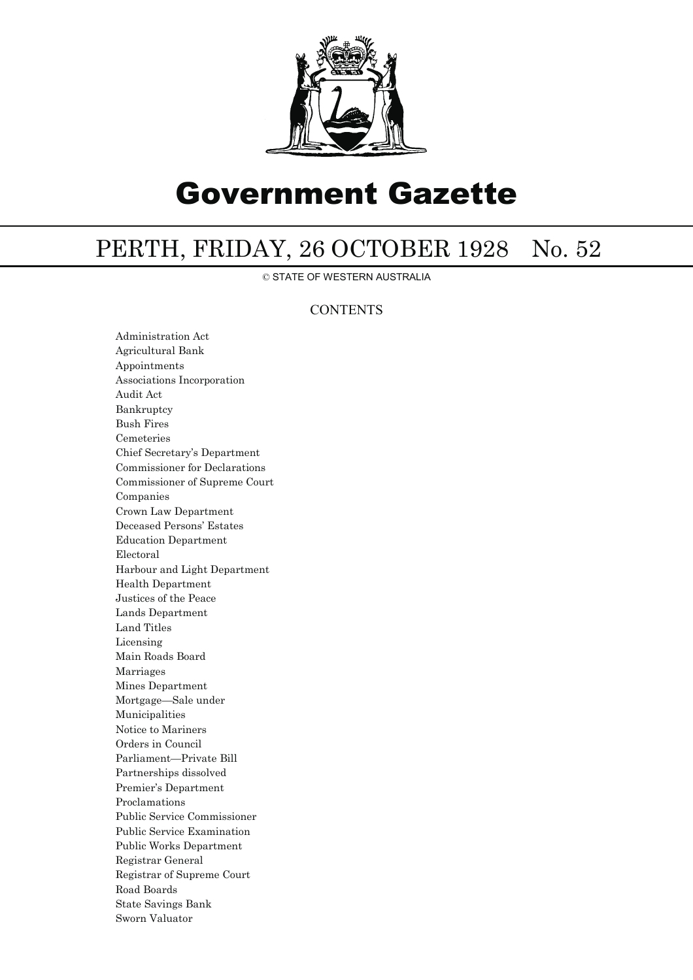

# Government Gazette

## PERTH, FRIDAY, 26 OCTOBER 1928 No. 52

© STATE OF WESTERN AUSTRALIA

### **CONTENTS**

Administration Act Agricultural Bank Appointments Associations Incorporation Audit Act Bankruptcy Bush Fires Cemeteries Chief Secretary's Department Commissioner for Declarations Commissioner of Supreme Court Companies Crown Law Department Deceased Persons' Estates Education Department Electoral Harbour and Light Department Health Department Justices of the Peace Lands Department Land Titles Licensing Main Roads Board Marriages Mines Department Mortgage—Sale under Municipalities Notice to Mariners Orders in Council Parliament—Private Bill Partnerships dissolved Premier's Department Proclamations Public Service Commissioner Public Service Examination Public Works Department Registrar General Registrar of Supreme Court Road Boards State Savings Bank Sworn Valuator